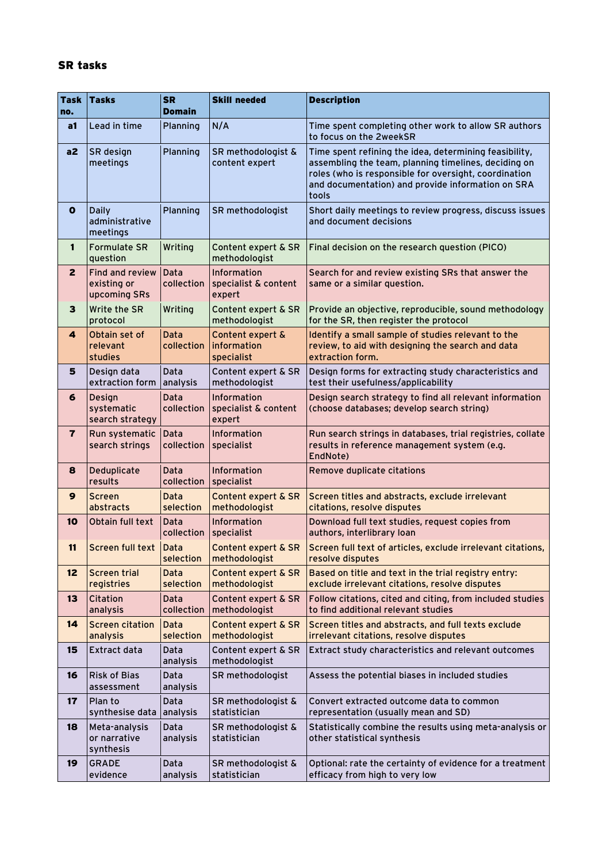## SR tasks

| <b>Task</b><br>no.      | <b>Tasks</b>                                          | <b>SR</b><br><b>Domain</b> | <b>Skill needed</b>                             | <b>Description</b>                                                                                                                                                                                                                    |
|-------------------------|-------------------------------------------------------|----------------------------|-------------------------------------------------|---------------------------------------------------------------------------------------------------------------------------------------------------------------------------------------------------------------------------------------|
| a1                      | Lead in time                                          | Planning                   | N/A                                             | Time spent completing other work to allow SR authors<br>to focus on the 2weekSR                                                                                                                                                       |
| a2                      | SR design<br>meetings                                 | Planning                   | SR methodologist &<br>content expert            | Time spent refining the idea, determining feasibility,<br>assembling the team, planning timelines, deciding on<br>roles (who is responsible for oversight, coordination<br>and documentation) and provide information on SRA<br>tools |
| $\mathbf{o}$            | <b>Daily</b><br>administrative<br>meetings            | Planning                   | SR methodologist                                | Short daily meetings to review progress, discuss issues<br>and document decisions                                                                                                                                                     |
| 1                       | <b>Formulate SR</b><br>question                       | Writing                    | Content expert & SR<br>methodologist            | Final decision on the research question (PICO)                                                                                                                                                                                        |
| $\overline{2}$          | <b>Find and review</b><br>existing or<br>upcoming SRs | Data<br>collection         | Information<br>specialist & content<br>expert   | Search for and review existing SRs that answer the<br>same or a similar question.                                                                                                                                                     |
| 3                       | Write the SR<br>protocol                              | Writing                    | Content expert & SR<br>methodologist            | Provide an objective, reproducible, sound methodology<br>for the SR, then register the protocol                                                                                                                                       |
| 4                       | Obtain set of<br>relevant<br>studies                  | Data<br>collection         | Content expert &<br>information<br>specialist   | Identify a small sample of studies relevant to the<br>review, to aid with designing the search and data<br>extraction form.                                                                                                           |
| 5                       | Design data<br>extraction form                        | Data<br>analysis           | Content expert & SR<br>methodologist            | Design forms for extracting study characteristics and<br>test their usefulness/applicability                                                                                                                                          |
| 6                       | Design<br>systematic<br>search strategy               | Data<br>collection         | Information<br>specialist & content<br>expert   | Design search strategy to find all relevant information<br>(choose databases; develop search string)                                                                                                                                  |
| $\overline{\mathbf{r}}$ | Run systematic<br>search strings                      | Data<br>collection         | Information<br>specialist                       | Run search strings in databases, trial registries, collate<br>results in reference management system (e.g.<br>EndNote)                                                                                                                |
| 8                       | Deduplicate<br>results                                | Data<br>collection         | Information<br>specialist                       | Remove duplicate citations                                                                                                                                                                                                            |
| 9                       | <b>Screen</b><br>abstracts                            | Data<br>selection          | Content expert & SR<br>methodologist            | Screen titles and abstracts, exclude irrelevant<br>citations, resolve disputes                                                                                                                                                        |
| 10                      | Obtain full text                                      | Data<br>collection         | Information<br>specialist                       | Download full text studies, request copies from<br>authors, interlibrary loan                                                                                                                                                         |
| 11                      | Screen full text   Data                               | selection                  | Content expert & SR<br>methodologist            | Screen full text of articles, exclude irrelevant citations,<br>resolve disputes                                                                                                                                                       |
| 12                      | <b>Screen trial</b><br>registries                     | Data<br>selection          | <b>Content expert &amp; SR</b><br>methodologist | Based on title and text in the trial registry entry:<br>exclude irrelevant citations, resolve disputes                                                                                                                                |
| 13                      | Citation<br>analysis                                  | Data<br>collection         | Content expert & SR<br>methodologist            | Follow citations, cited and citing, from included studies<br>to find additional relevant studies                                                                                                                                      |
| 14                      | <b>Screen citation</b><br>analysis                    | Data<br>selection          | Content expert & SR<br>methodologist            | Screen titles and abstracts, and full texts exclude<br>irrelevant citations, resolve disputes                                                                                                                                         |
| 15                      | <b>Extract data</b>                                   | Data<br>analysis           | Content expert & SR<br>methodologist            | Extract study characteristics and relevant outcomes                                                                                                                                                                                   |
| 16                      | <b>Risk of Bias</b><br>assessment                     | Data<br>analysis           | SR methodologist                                | Assess the potential biases in included studies                                                                                                                                                                                       |
| 17                      | Plan to<br>synthesise data                            | Data<br>analysis           | SR methodologist &<br>statistician              | Convert extracted outcome data to common<br>representation (usually mean and SD)                                                                                                                                                      |
| 18                      | Meta-analysis<br>or narrative<br>synthesis            | Data<br>analysis           | SR methodologist &<br>statistician              | Statistically combine the results using meta-analysis or<br>other statistical synthesis                                                                                                                                               |
| 19                      | <b>GRADE</b><br>evidence                              | Data<br>analysis           | SR methodologist &<br>statistician              | Optional: rate the certainty of evidence for a treatment<br>efficacy from high to very low                                                                                                                                            |